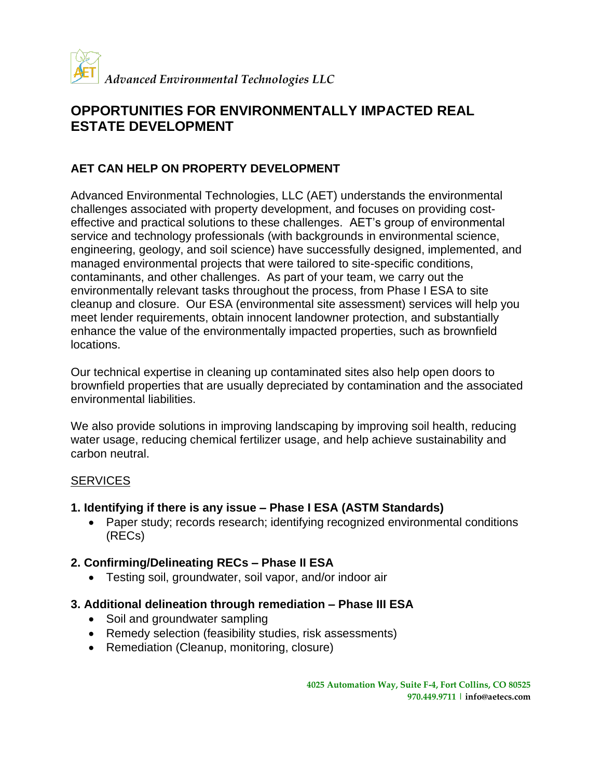

# **OPPORTUNITIES FOR ENVIRONMENTALLY IMPACTED REAL ESTATE DEVELOPMENT**

## **AET CAN HELP ON PROPERTY DEVELOPMENT**

Advanced Environmental Technologies, LLC (AET) understands the environmental challenges associated with property development, and focuses on providing costeffective and practical solutions to these challenges. AET's group of environmental service and technology professionals (with backgrounds in environmental science, engineering, geology, and soil science) have successfully designed, implemented, and managed environmental projects that were tailored to site-specific conditions, contaminants, and other challenges. As part of your team, we carry out the environmentally relevant tasks throughout the process, from Phase I ESA to site cleanup and closure. Our ESA (environmental site assessment) services will help you meet lender requirements, obtain innocent landowner protection, and substantially enhance the value of the environmentally impacted properties, such as brownfield locations.

Our technical expertise in cleaning up contaminated sites also help open doors to brownfield properties that are usually depreciated by contamination and the associated environmental liabilities.

We also provide solutions in improving landscaping by improving soil health, reducing water usage, reducing chemical fertilizer usage, and help achieve sustainability and carbon neutral.

## **SERVICES**

- **1. Identifying if there is any issue – Phase I ESA (ASTM Standards)**
	- Paper study; records research; identifying recognized environmental conditions (RECs)
- **2. Confirming/Delineating RECs – Phase II ESA**
	- Testing soil, groundwater, soil vapor, and/or indoor air
- **3. Additional delineation through remediation – Phase III ESA**
	- Soil and groundwater sampling
	- Remedy selection (feasibility studies, risk assessments)
	- Remediation (Cleanup, monitoring, closure)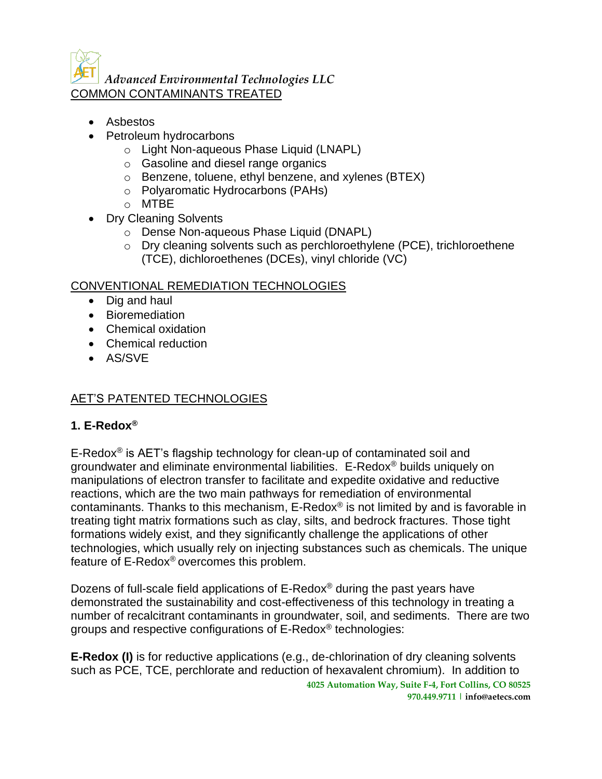*Advanced Environmental Technologies LLC* COMMON CONTAMINANTS TREATED

- Asbestos
- Petroleum hydrocarbons
	- o Light Non-aqueous Phase Liquid (LNAPL)
	- o Gasoline and diesel range organics
	- o Benzene, toluene, ethyl benzene, and xylenes (BTEX)
	- o Polyaromatic Hydrocarbons (PAHs)
	- o MTBE
- Dry Cleaning Solvents
	- o Dense Non-aqueous Phase Liquid (DNAPL)
	- o Dry cleaning solvents such as perchloroethylene (PCE), trichloroethene (TCE), dichloroethenes (DCEs), vinyl chloride (VC)

#### CONVENTIONAL REMEDIATION TECHNOLOGIES

- Dig and haul
- Bioremediation
- Chemical oxidation
- Chemical reduction
- AS/SVE

## AET'S PATENTED TECHNOLOGIES

#### **1. E-Redox®**

E-Redox<sup>®</sup> is AET's flagship technology for clean-up of contaminated soil and groundwater and eliminate environmental liabilities. E-Redox® builds uniquely on manipulations of electron transfer to facilitate and expedite oxidative and reductive reactions, which are the two main pathways for remediation of environmental contaminants. Thanks to this mechanism, E-Redox® is not limited by and is favorable in treating tight matrix formations such as clay, silts, and bedrock fractures. Those tight formations widely exist, and they significantly challenge the applications of other technologies, which usually rely on injecting substances such as chemicals. The unique feature of E-Redox® overcomes this problem.

Dozens of full-scale field applications of E-Redox® during the past years have demonstrated the sustainability and cost-effectiveness of this technology in treating a number of recalcitrant contaminants in groundwater, soil, and sediments. There are two groups and respective configurations of E-Redox® technologies:

**4025 Automation Way, Suite F-4, Fort Collins, CO 80525 970.449.9711 | info@aetecs.com E-Redox (I)** is for reductive applications (e.g., de-chlorination of dry cleaning solvents such as PCE, TCE, perchlorate and reduction of hexavalent chromium). In addition to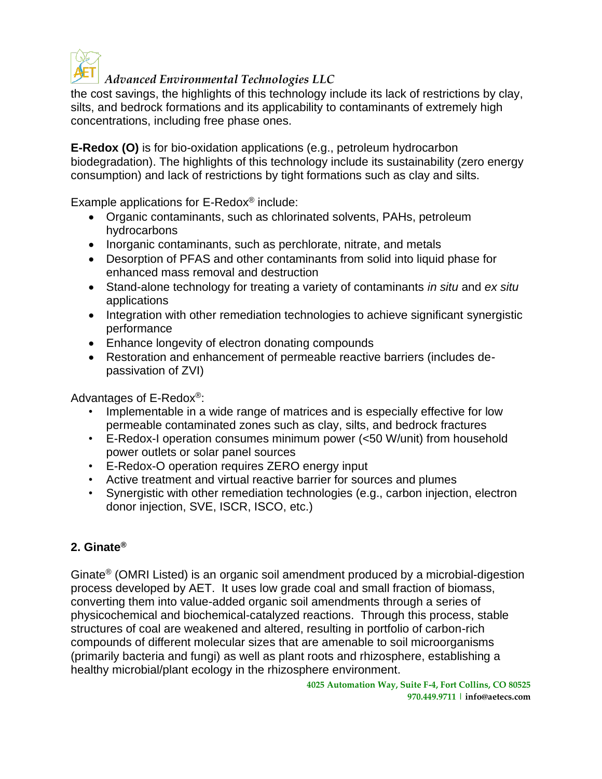

# *Advanced Environmental Technologies LLC*

the cost savings, the highlights of this technology include its lack of restrictions by clay, silts, and bedrock formations and its applicability to contaminants of extremely high concentrations, including free phase ones.

**E-Redox (O)** is for bio-oxidation applications (e.g., petroleum hydrocarbon biodegradation). The highlights of this technology include its sustainability (zero energy consumption) and lack of restrictions by tight formations such as clay and silts.

Example applications for E-Redox® include:

- Organic contaminants, such as chlorinated solvents, PAHs, petroleum hydrocarbons
- Inorganic contaminants, such as perchlorate, nitrate, and metals
- Desorption of PFAS and other contaminants from solid into liquid phase for enhanced mass removal and destruction
- Stand-alone technology for treating a variety of contaminants *in situ* and *ex situ* applications
- Integration with other remediation technologies to achieve significant synergistic performance
- Enhance longevity of electron donating compounds
- Restoration and enhancement of permeable reactive barriers (includes depassivation of ZVI)

Advantages of E-Redox®:

- Implementable in a wide range of matrices and is especially effective for low permeable contaminated zones such as clay, silts, and bedrock fractures
- E-Redox-I operation consumes minimum power (<50 W/unit) from household power outlets or solar panel sources
- E-Redox-O operation requires ZERO energy input
- Active treatment and virtual reactive barrier for sources and plumes
- Synergistic with other remediation technologies (e.g., carbon injection, electron donor injection, SVE, ISCR, ISCO, etc.)

# **2. Ginate®**

Ginate® (OMRI Listed) is an organic soil amendment produced by a microbial-digestion process developed by AET. It uses low grade coal and small fraction of biomass, converting them into value-added organic soil amendments through a series of physicochemical and biochemical-catalyzed reactions. Through this process, stable structures of coal are weakened and altered, resulting in portfolio of carbon-rich compounds of different molecular sizes that are amenable to soil microorganisms (primarily bacteria and fungi) as well as plant roots and rhizosphere, establishing a healthy microbial/plant ecology in the rhizosphere environment.